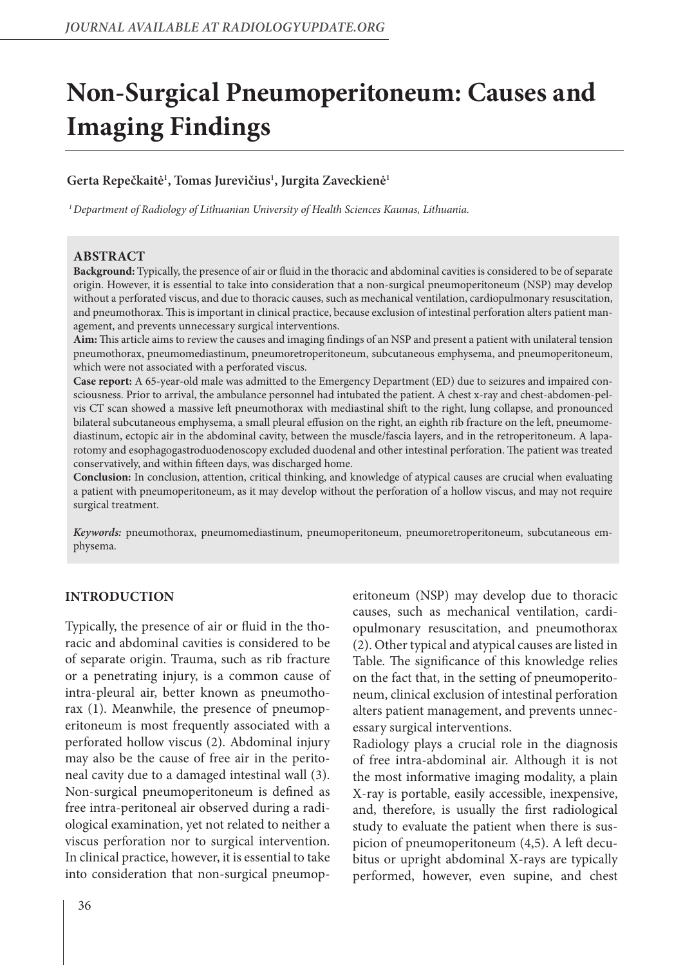# **Non-Surgical Pneumoperitoneum: Causes and Imaging Findings**

## **Gerta Repečkaitė1 , Tomas Jurevičius1 , Jurgita Zaveckienė1**

*1 Department of Radiology of Lithuanian University of Health Sciences Kaunas, Lithuania.*

### **ABSTRACT**

**Background:** Typically, the presence of air or fluid in the thoracic and abdominal cavities is considered to be of separate origin. However, it is essential to take into consideration that a non-surgical pneumoperitoneum (NSP) may develop without a perforated viscus, and due to thoracic causes, such as mechanical ventilation, cardiopulmonary resuscitation, and pneumothorax. This is important in clinical practice, because exclusion of intestinal perforation alters patient management, and prevents unnecessary surgical interventions.

**Aim:** This article aims to review the causes and imaging findings of an NSP and present a patient with unilateral tension pneumothorax, pneumomediastinum, pneumoretroperitoneum, subcutaneous emphysema, and pneumoperitoneum, which were not associated with a perforated viscus.

**Case report:** A 65-year-old male was admitted to the Emergency Department (ED) due to seizures and impaired consciousness. Prior to arrival, the ambulance personnel had intubated the patient. A chest x-ray and chest-abdomen-pelvis CT scan showed a massive left pneumothorax with mediastinal shift to the right, lung collapse, and pronounced bilateral subcutaneous emphysema, a small pleural effusion on the right, an eighth rib fracture on the left, pneumomediastinum, ectopic air in the abdominal cavity, between the muscle/fascia layers, and in the retroperitoneum. A laparotomy and esophagogastroduodenoscopy excluded duodenal and other intestinal perforation. The patient was treated conservatively, and within fifteen days, was discharged home.

**Conclusion:** In conclusion, attention, critical thinking, and knowledge of atypical causes are crucial when evaluating a patient with pneumoperitoneum, as it may develop without the perforation of a hollow viscus, and may not require surgical treatment.

*Keywords:* pneumothorax, pneumomediastinum, pneumoperitoneum, pneumoretroperitoneum, subcutaneous emphysema.

## **INTRODUCTION**

Typically, the presence of air or fluid in the thoracic and abdominal cavities is considered to be of separate origin. Trauma, such as rib fracture or a penetrating injury, is a common cause of intra-pleural air, better known as pneumothorax (1). Meanwhile, the presence of pneumoperitoneum is most frequently associated with a perforated hollow viscus (2). Abdominal injury may also be the cause of free air in the peritoneal cavity due to a damaged intestinal wall (3). Non-surgical pneumoperitoneum is defined as free intra-peritoneal air observed during a radiological examination, yet not related to neither a viscus perforation nor to surgical intervention. In clinical practice, however, it is essential to take into consideration that non-surgical pneumoperitoneum (NSP) may develop due to thoracic causes, such as mechanical ventilation, cardiopulmonary resuscitation, and pneumothorax (2). Other typical and atypical causes are listed in Table. The significance of this knowledge relies on the fact that, in the setting of pneumoperitoneum, clinical exclusion of intestinal perforation alters patient management, and prevents unnecessary surgical interventions.

Radiology plays a crucial role in the diagnosis of free intra-abdominal air. Although it is not the most informative imaging modality, a plain X-ray is portable, easily accessible, inexpensive, and, therefore, is usually the first radiological study to evaluate the patient when there is suspicion of pneumoperitoneum (4,5). A left decubitus or upright abdominal X-rays are typically performed, however, even supine, and chest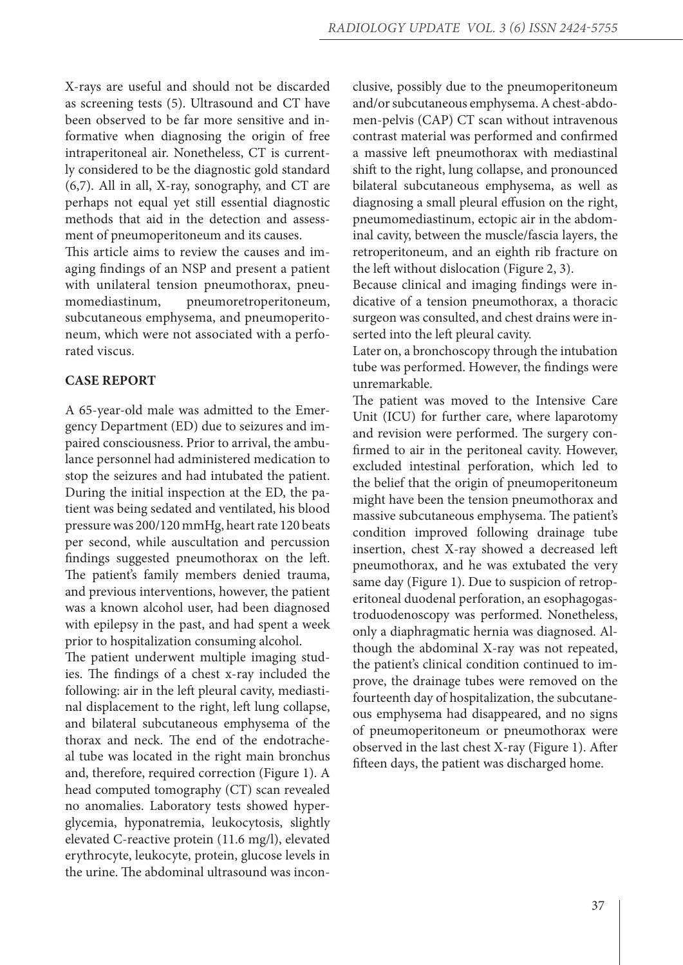X-rays are useful and should not be discarded as screening tests (5). Ultrasound and CT have been observed to be far more sensitive and informative when diagnosing the origin of free intraperitoneal air. Nonetheless, CT is currently considered to be the diagnostic gold standard (6,7). All in all, X-ray, sonography, and CT are perhaps not equal yet still essential diagnostic methods that aid in the detection and assessment of pneumoperitoneum and its causes.

This article aims to review the causes and imaging findings of an NSP and present a patient with unilateral tension pneumothorax, pneumomediastinum, pneumoretroperitoneum, subcutaneous emphysema, and pneumoperitoneum, which were not associated with a perforated viscus.

### **CASE REPORT**

A 65-year-old male was admitted to the Emergency Department (ED) due to seizures and impaired consciousness. Prior to arrival, the ambulance personnel had administered medication to stop the seizures and had intubated the patient. During the initial inspection at the ED, the patient was being sedated and ventilated, his blood pressure was 200/120 mmHg, heart rate 120 beats per second, while auscultation and percussion findings suggested pneumothorax on the left. The patient's family members denied trauma, and previous interventions, however, the patient was a known alcohol user, had been diagnosed with epilepsy in the past, and had spent a week prior to hospitalization consuming alcohol.

The patient underwent multiple imaging studies. The findings of a chest x-ray included the following: air in the left pleural cavity, mediastinal displacement to the right, left lung collapse, and bilateral subcutaneous emphysema of the thorax and neck. The end of the endotracheal tube was located in the right main bronchus and, therefore, required correction (Figure 1). A head computed tomography (CT) scan revealed no anomalies. Laboratory tests showed hyperglycemia, hyponatremia, leukocytosis, slightly elevated C-reactive protein (11.6 mg/l), elevated erythrocyte, leukocyte, protein, glucose levels in the urine. The abdominal ultrasound was inconclusive, possibly due to the pneumoperitoneum and/or subcutaneous emphysema. A chest-abdomen-pelvis (CAP) CT scan without intravenous contrast material was performed and confirmed a massive left pneumothorax with mediastinal shift to the right, lung collapse, and pronounced bilateral subcutaneous emphysema, as well as diagnosing a small pleural effusion on the right, pneumomediastinum, ectopic air in the abdominal cavity, between the muscle/fascia layers, the retroperitoneum, and an eighth rib fracture on the left without dislocation (Figure 2, 3).

Because clinical and imaging findings were indicative of a tension pneumothorax, a thoracic surgeon was consulted, and chest drains were inserted into the left pleural cavity.

Later on, a bronchoscopy through the intubation tube was performed. However, the findings were unremarkable.

The patient was moved to the Intensive Care Unit (ICU) for further care, where laparotomy and revision were performed. The surgery confirmed to air in the peritoneal cavity. However, excluded intestinal perforation, which led to the belief that the origin of pneumoperitoneum might have been the tension pneumothorax and massive subcutaneous emphysema. The patient's condition improved following drainage tube insertion, chest X-ray showed a decreased left pneumothorax, and he was extubated the very same day (Figure 1). Due to suspicion of retroperitoneal duodenal perforation, an esophagogastroduodenoscopy was performed. Nonetheless, only a diaphragmatic hernia was diagnosed. Although the abdominal X-ray was not repeated, the patient's clinical condition continued to improve, the drainage tubes were removed on the fourteenth day of hospitalization, the subcutaneous emphysema had disappeared, and no signs of pneumoperitoneum or pneumothorax were observed in the last chest X-ray (Figure 1). After fifteen days, the patient was discharged home.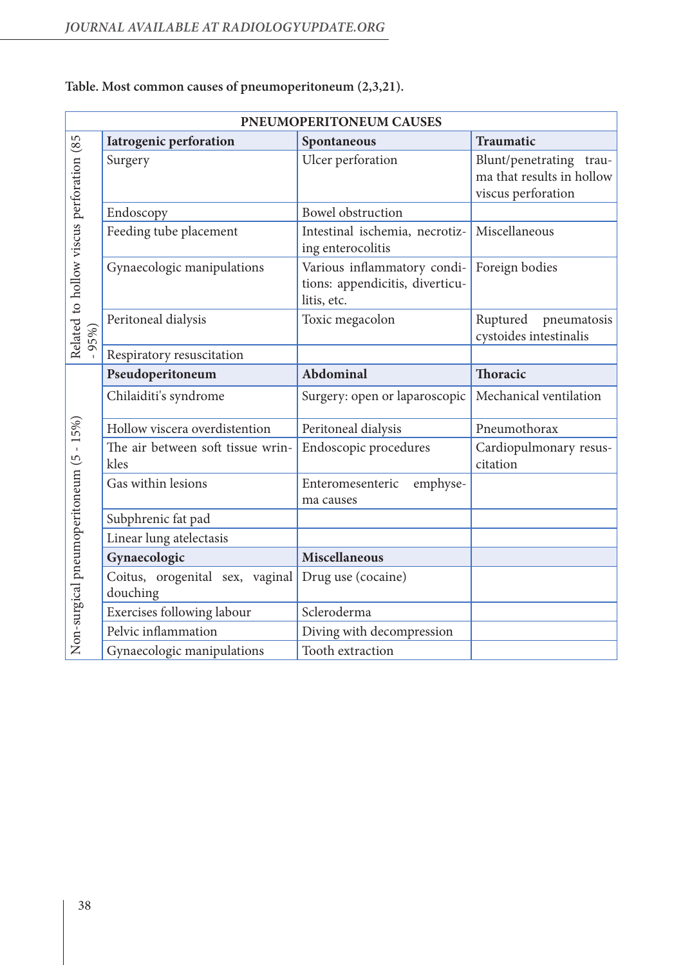| PNEUMOPERITONEUM CAUSES                          |                                             |                                                                               |                                                                               |
|--------------------------------------------------|---------------------------------------------|-------------------------------------------------------------------------------|-------------------------------------------------------------------------------|
|                                                  | <b>Iatrogenic perforation</b>               | Spontaneous                                                                   | Traumatic                                                                     |
| Related to hollow viscus perforation (85<br>95%) | Surgery                                     | Ulcer perforation                                                             | Blunt/penetrating<br>trau-<br>ma that results in hollow<br>viscus perforation |
|                                                  | Endoscopy                                   | <b>Bowel</b> obstruction                                                      |                                                                               |
|                                                  | Feeding tube placement                      | Intestinal ischemia, necrotiz-<br>ing enterocolitis                           | Miscellaneous                                                                 |
|                                                  | Gynaecologic manipulations                  | Various inflammatory condi-<br>tions: appendicitis, diverticu-<br>litis, etc. | Foreign bodies                                                                |
|                                                  | Peritoneal dialysis                         | Toxic megacolon                                                               | Ruptured<br>pneumatosis<br>cystoides intestinalis                             |
|                                                  | Respiratory resuscitation                   |                                                                               |                                                                               |
| $-15%$<br>Non-surgical pneumoperitoneum (5       | Pseudoperitoneum                            | Abdominal                                                                     | <b>Thoracic</b>                                                               |
|                                                  | Chilaiditi's syndrome                       | Surgery: open or laparoscopic                                                 | Mechanical ventilation                                                        |
|                                                  | Hollow viscera overdistention               | Peritoneal dialysis                                                           | Pneumothorax                                                                  |
|                                                  | The air between soft tissue wrin-<br>kles   | Endoscopic procedures                                                         | Cardiopulmonary resus-<br>citation                                            |
|                                                  | Gas within lesions                          | Enteromesenteric<br>emphyse-<br>ma causes                                     |                                                                               |
|                                                  | Subphrenic fat pad                          |                                                                               |                                                                               |
|                                                  | Linear lung atelectasis                     |                                                                               |                                                                               |
|                                                  | Gynaecologic                                | <b>Miscellaneous</b>                                                          |                                                                               |
|                                                  | Coitus, orogenital sex, vaginal<br>douching | Drug use (cocaine)                                                            |                                                                               |
|                                                  | Exercises following labour                  | Scleroderma                                                                   |                                                                               |
|                                                  | Pelvic inflammation                         | Diving with decompression                                                     |                                                                               |
|                                                  | Gynaecologic manipulations                  | Tooth extraction                                                              |                                                                               |

**Table. Most common causes of pneumoperitoneum (2,3,21).**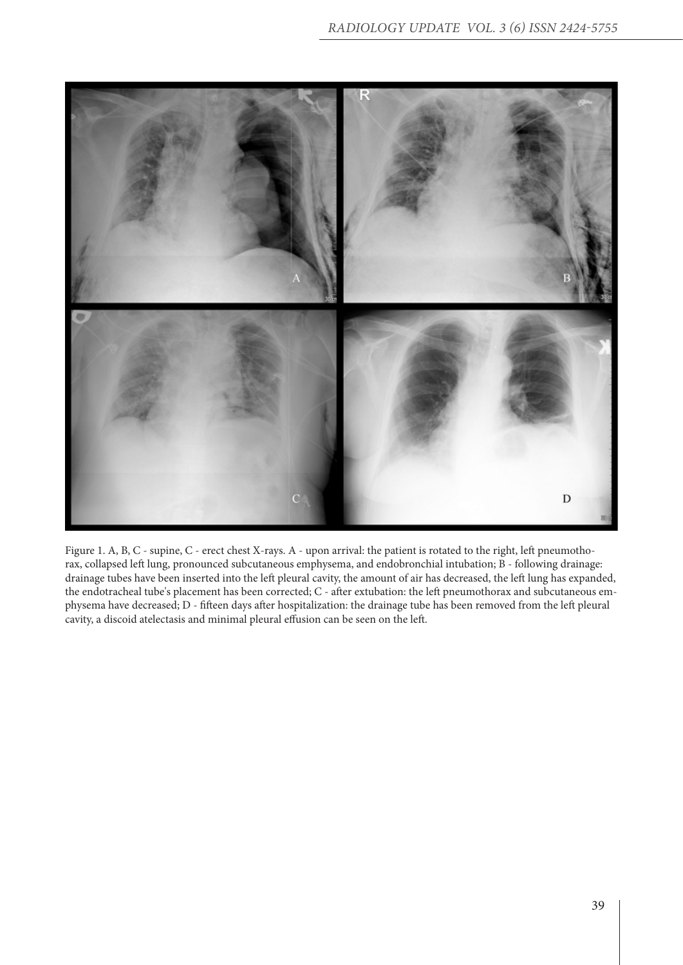

Figure 1. A, B, C - supine, C - erect chest X-rays. A - upon arrival: the patient is rotated to the right, left pneumothorax, collapsed left lung, pronounced subcutaneous emphysema, and endobronchial intubation; B - following drainage: drainage tubes have been inserted into the left pleural cavity, the amount of air has decreased, the left lung has expanded, the endotracheal tube's placement has been corrected; C - after extubation: the left pneumothorax and subcutaneous emphysema have decreased; D - fifteen days after hospitalization: the drainage tube has been removed from the left pleural cavity, a discoid atelectasis and minimal pleural effusion can be seen on the left.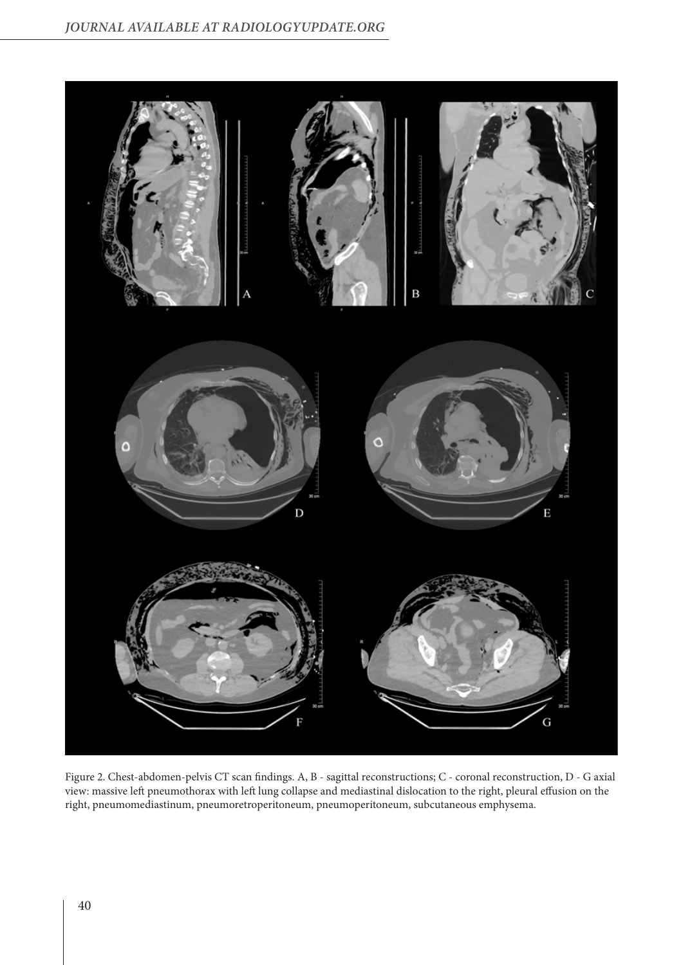

Figure 2. Chest-abdomen-pelvis CT scan findings. A, B - sagittal reconstructions; C - coronal reconstruction, D - G axial view: massive left pneumothorax with left lung collapse and mediastinal dislocation to the right, pleural effusion on the right, pneumomediastinum, pneumoretroperitoneum, pneumoperitoneum, subcutaneous emphysema.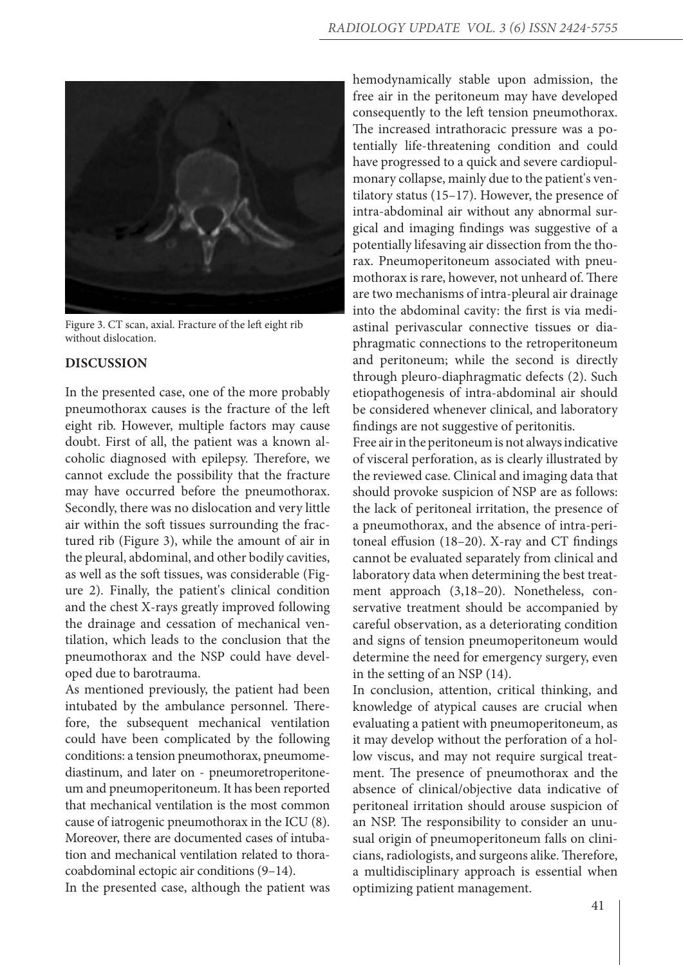

Figure 3. CT scan, axial. Fracture of the left eight rib without dislocation.

## **DISCUSSION**

In the presented case, one of the more probably pneumothorax causes is the fracture of the left eight rib. However, multiple factors may cause doubt. First of all, the patient was a known alcoholic diagnosed with epilepsy. Therefore, we cannot exclude the possibility that the fracture may have occurred before the pneumothorax. Secondly, there was no dislocation and very little air within the soft tissues surrounding the fractured rib (Figure 3), while the amount of air in the pleural, abdominal, and other bodily cavities, as well as the soft tissues, was considerable (Figure 2). Finally, the patient's clinical condition and the chest X-rays greatly improved following the drainage and cessation of mechanical ventilation, which leads to the conclusion that the pneumothorax and the NSP could have developed due to barotrauma.

As mentioned previously, the patient had been intubated by the ambulance personnel. Therefore, the subsequent mechanical ventilation could have been complicated by the following conditions: a tension pneumothorax, pneumomediastinum, and later on - pneumoretroperitoneum and pneumoperitoneum. It has been reported that mechanical ventilation is the most common cause of iatrogenic pneumothorax in the ICU (8). Moreover, there are documented cases of intubation and mechanical ventilation related to thoracoabdominal ectopic air conditions (9–14).

In the presented case, although the patient was

hemodynamically stable upon admission, the free air in the peritoneum may have developed consequently to the left tension pneumothorax. The increased intrathoracic pressure was a potentially life-threatening condition and could have progressed to a quick and severe cardiopulmonary collapse, mainly due to the patient's ventilatory status (15–17). However, the presence of intra-abdominal air without any abnormal surgical and imaging findings was suggestive of a potentially lifesaving air dissection from the thorax. Pneumoperitoneum associated with pneumothorax is rare, however, not unheard of. There are two mechanisms of intra-pleural air drainage into the abdominal cavity: the first is via mediastinal perivascular connective tissues or diaphragmatic connections to the retroperitoneum and peritoneum; while the second is directly through pleuro-diaphragmatic defects (2). Such etiopathogenesis of intra-abdominal air should be considered whenever clinical, and laboratory findings are not suggestive of peritonitis.

Free air in the peritoneum is not always indicative of visceral perforation, as is clearly illustrated by the reviewed case. Clinical and imaging data that should provoke suspicion of NSP are as follows: the lack of peritoneal irritation, the presence of a pneumothorax, and the absence of intra-peritoneal effusion (18–20). X-ray and CT findings cannot be evaluated separately from clinical and laboratory data when determining the best treatment approach (3,18–20). Nonetheless, conservative treatment should be accompanied by careful observation, as a deteriorating condition and signs of tension pneumoperitoneum would determine the need for emergency surgery, even in the setting of an NSP (14).

In conclusion, attention, critical thinking, and knowledge of atypical causes are crucial when evaluating a patient with pneumoperitoneum, as it may develop without the perforation of a hollow viscus, and may not require surgical treatment. The presence of pneumothorax and the absence of clinical/objective data indicative of peritoneal irritation should arouse suspicion of an NSP. The responsibility to consider an unusual origin of pneumoperitoneum falls on clinicians, radiologists, and surgeons alike. Therefore, a multidisciplinary approach is essential when optimizing patient management.